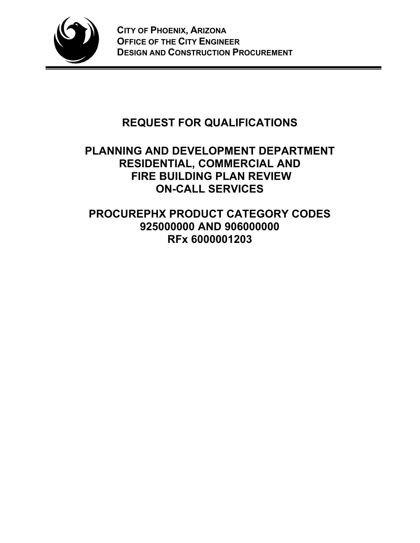

# **REQUEST FOR QUALIFICATIONS**

## **PLANNING AND DEVELOPMENT DEPARTMENT RESIDENTIAL, COMMERCIAL AND FIRE BUILDING PLAN REVIEW ON-CALL SERVICES**

**PROCUREPHX PRODUCT CATEGORY CODES 925000000 AND 906000000 RFx 6000001203**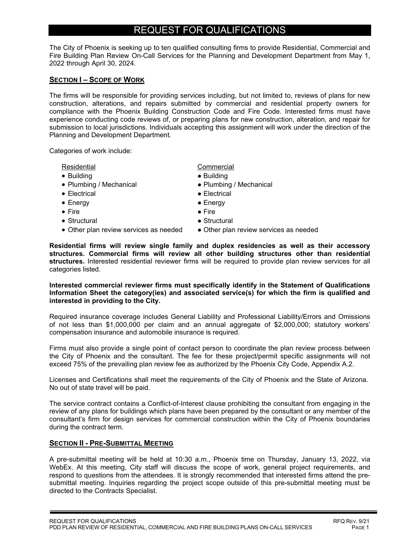### REQUEST FOR QUALIFICATIONS

The City of Phoenix is seeking up to ten qualified consulting firms to provide Residential, Commercial and Fire Building Plan Review On-Call Services for the Planning and Development Department from May 1, 2022 through April 30, 2024.

#### **SECTION I – SCOPE OF WORK**

The firms will be responsible for providing services including, but not limited to, reviews of plans for new construction, alterations, and repairs submitted by commercial and residential property owners for compliance with the Phoenix Building Construction Code and Fire Code. Interested firms must have experience conducting code reviews of, or preparing plans for new construction, alteration, and repair for submission to local jurisdictions. Individuals accepting this assignment will work under the direction of the Planning and Development Department.

Categories of work include:

- Building  **Building**
- Plumbing / Mechanical Plumbing / Mechanical
- Electrical Electrical Electrical Electrical Electrical → Electrical → Electrical → Electrical → Electrical → Electrical → Electrical → Electrical → Electrical → Electrical → Electrical → Electrical → Electrical
- 
- Fire  $\bullet$  Fire
- Structural Structural Structural Structural Structural Structural Structural Structural Structural Structural Structural Structural Structural Structural Structural Structural Structural •
- Other plan review services as needed Other plan review services as needed

Residential **Commercial** 

- 
- 
- 
- Energy  **Energy** 
	-
	-
	-

**Residential firms will review single family and duplex residencies as well as their accessory structures. Commercial firms will review all other building structures other than residential structures.** Interested residential reviewer firms will be required to provide plan review services for all categories listed.

**Interested commercial reviewer firms must specifically identify in the Statement of Qualifications Information Sheet the category(ies) and associated service(s) for which the firm is qualified and interested in providing to the City.**

Required insurance coverage includes General Liability and Professional Liability/Errors and Omissions of not less than \$1,000,000 per claim and an annual aggregate of \$2,000,000; statutory workers' compensation insurance and automobile insurance is required.

Firms must also provide a single point of contact person to coordinate the plan review process between the City of Phoenix and the consultant. The fee for these project/permit specific assignments will not exceed 75% of the prevailing plan review fee as authorized by the Phoenix City Code, Appendix A.2.

Licenses and Certifications shall meet the requirements of the City of Phoenix and the State of Arizona. No out of state travel will be paid.

The service contract contains a Conflict-of-Interest clause prohibiting the consultant from engaging in the review of any plans for buildings which plans have been prepared by the consultant or any member of the consultant's firm for design services for commercial construction within the City of Phoenix boundaries during the contract term.

#### **SECTION II - PRE-SUBMITTAL MEETING**

A pre-submittal meeting will be held at 10:30 a.m., Phoenix time on Thursday, January 13, 2022, via WebEx. At this meeting, City staff will discuss the scope of work, general project requirements, and respond to questions from the attendees. It is strongly recommended that interested firms attend the presubmittal meeting. Inquiries regarding the project scope outside of this pre-submittal meeting must be directed to the Contracts Specialist.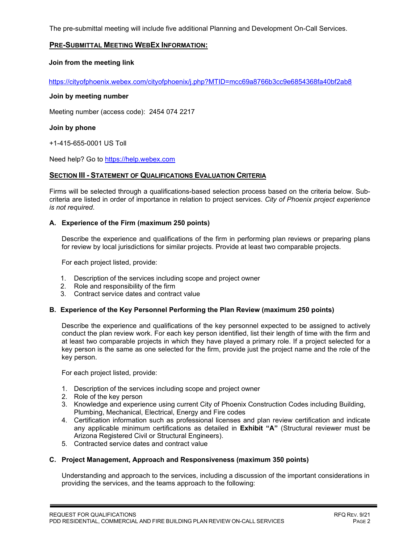The pre-submittal meeting will include five additional Planning and Development On-Call Services.

#### **PRE-SUBMITTAL MEETING WEBEX INFORMATION:**

#### **Join from the meeting link**

https://cityofphoenix.webex.com/cityofphoenix/j.php?MTID=mcc69a8766b3cc9e6854368fa40bf2ab8

#### **Join by meeting number**

Meeting number (access code): 2454 074 2217

#### **Join by phone**

+1-415-655-0001 US Toll

Need help? Go to https://help.webex.com

#### **SECTION III - STATEMENT OF QUALIFICATIONS EVALUATION CRITERIA**

Firms will be selected through a qualifications-based selection process based on the criteria below. Subcriteria are listed in order of importance in relation to project services. *City of Phoenix project experience is not required*.

#### **A. Experience of the Firm (maximum 250 points)**

Describe the experience and qualifications of the firm in performing plan reviews or preparing plans for review by local jurisdictions for similar projects. Provide at least two comparable projects.

For each project listed, provide:

- 1. Description of the services including scope and project owner
- 2. Role and responsibility of the firm
- 3. Contract service dates and contract value

#### **B. Experience of the Key Personnel Performing the Plan Review (maximum 250 points)**

Describe the experience and qualifications of the key personnel expected to be assigned to actively conduct the plan review work. For each key person identified, list their length of time with the firm and at least two comparable projects in which they have played a primary role. If a project selected for a key person is the same as one selected for the firm, provide just the project name and the role of the key person.

For each project listed, provide:

- 1. Description of the services including scope and project owner
- 2. Role of the key person
- 3. Knowledge and experience using current City of Phoenix Construction Codes including Building, Plumbing, Mechanical, Electrical, Energy and Fire codes
- 4. Certification information such as professional licenses and plan review certification and indicate any applicable minimum certifications as detailed in **Exhibit "A"** (Structural reviewer must be Arizona Registered Civil or Structural Engineers).
- 5. Contracted service dates and contract value

#### **C. Project Management, Approach and Responsiveness (maximum 350 points)**

Understanding and approach to the services, including a discussion of the important considerations in providing the services, and the teams approach to the following: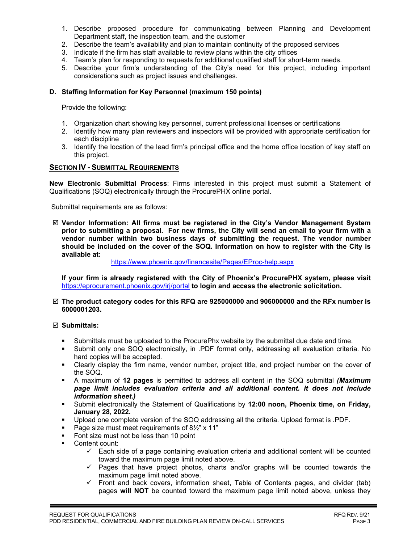- 1. Describe proposed procedure for communicating between Planning and Development Department staff, the inspection team, and the customer
- 2. Describe the team's availability and plan to maintain continuity of the proposed services
- 3. Indicate if the firm has staff available to review plans within the city offices
- 4. Team's plan for responding to requests for additional qualified staff for short-term needs.
- 5. Describe your firm's understanding of the City's need for this project, including important considerations such as project issues and challenges.

#### **D. Staffing Information for Key Personnel (maximum 150 points)**

Provide the following:

- 1. Organization chart showing key personnel, current professional licenses or certifications
- 2. Identify how many plan reviewers and inspectors will be provided with appropriate certification for each discipline
- 3. Identify the location of the lead firm's principal office and the home office location of key staff on this project.

#### **SECTION IV - SUBMITTAL REQUIREMENTS**

**New Electronic Submittal Process**: Firms interested in this project must submit a Statement of Qualifications (SOQ) electronically through the ProcurePHX online portal.

Submittal requirements are as follows:

 **Vendor Information: All firms must be registered in the City's Vendor Management System prior to submitting a proposal. For new firms, the City will send an email to your firm with a vendor number within two business days of submitting the request. The vendor number should be included on the cover of the SOQ. Information on how to register with the City is available at:** 

<https://www.phoenix.gov/financesite/Pages/EProc-help.aspx>

**If your firm is already registered with the City of Phoenix's ProcurePHX system, please visit**  <https://eprocurement.phoenix.gov/irj/portal> **to login and access the electronic solicitation.**

 **The product category codes for this RFQ are 925000000 and 906000000 and the RFx number is 6000001203.** 

#### **Submittals:**

- Submittals must be uploaded to the ProcurePhx website by the submittal due date and time.
- Submit only one SOQ electronically, in .PDF format only, addressing all evaluation criteria. No hard copies will be accepted.
- Clearly display the firm name, vendor number, project title, and project number on the cover of the SOQ.
- A maximum of **12 pages** is permitted to address all content in the SOQ submittal *(Maximum page limit includes evaluation criteria and all additional content. It does not include information sheet.)*
- Submit electronically the Statement of Qualifications by **12:00 noon, Phoenix time, on Friday, January 28, 2022.**
- Upload one complete version of the SOQ addressing all the criteria. Upload format is .PDF.
- Page size must meet requirements of  $8\frac{1}{2}$ " x 11"
- Font size must not be less than 10 point
- **Content count:** 
	- $\checkmark$  Each side of a page containing evaluation criteria and additional content will be counted toward the maximum page limit noted above.
	- Pages that have project photos, charts and/or graphs will be counted towards the maximum page limit noted above.
	- $\checkmark$  Front and back covers, information sheet, Table of Contents pages, and divider (tab) pages **will NOT** be counted toward the maximum page limit noted above, unless they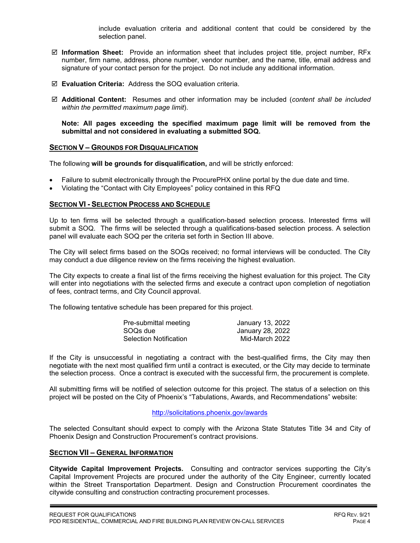include evaluation criteria and additional content that could be considered by the selection panel.

- **Information Sheet:** Provide an information sheet that includes project title, project number, RFx number, firm name, address, phone number, vendor number, and the name, title, email address and signature of your contact person for the project. Do not include any additional information.
- **Evaluation Criteria:** Address the SOQ evaluation criteria.
- **Additional Content:** Resumes and other information may be included (*content shall be included within the permitted maximum page limit*).

**Note: All pages exceeding the specified maximum page limit will be removed from the submittal and not considered in evaluating a submitted SOQ.** 

#### **SECTION V – GROUNDS FOR DISQUALIFICATION**

The following **will be grounds for disqualification,** and will be strictly enforced:

- Failure to submit electronically through the ProcurePHX online portal by the due date and time.
- Violating the "Contact with City Employees" policy contained in this RFQ

#### **SECTION VI - SELECTION PROCESS AND SCHEDULE**

Up to ten firms will be selected through a qualification-based selection process. Interested firms will submit a SOQ. The firms will be selected through a qualifications-based selection process. A selection panel will evaluate each SOQ per the criteria set forth in Section III above.

The City will select firms based on the SOQs received; no formal interviews will be conducted. The City may conduct a due diligence review on the firms receiving the highest evaluation.

The City expects to create a final list of the firms receiving the highest evaluation for this project. The City will enter into negotiations with the selected firms and execute a contract upon completion of negotiation of fees, contract terms, and City Council approval.

The following tentative schedule has been prepared for this project.

| Pre-submittal meeting         | January 13, 2022 |
|-------------------------------|------------------|
| SOQs due                      | January 28, 2022 |
| <b>Selection Notification</b> | Mid-March 2022   |

If the City is unsuccessful in negotiating a contract with the best-qualified firms, the City may then negotiate with the next most qualified firm until a contract is executed, or the City may decide to terminate the selection process. Once a contract is executed with the successful firm, the procurement is complete.

All submitting firms will be notified of selection outcome for this project. The status of a selection on this project will be posted on the City of Phoenix's "Tabulations, Awards, and Recommendations" website:

#### <http://solicitations.phoenix.gov/awards>

The selected Consultant should expect to comply with the Arizona State Statutes Title 34 and City of Phoenix Design and Construction Procurement's contract provisions.

#### **SECTION VII – GENERAL INFORMATION**

**Citywide Capital Improvement Projects.** Consulting and contractor services supporting the City's Capital Improvement Projects are procured under the authority of the City Engineer, currently located within the Street Transportation Department. Design and Construction Procurement coordinates the citywide consulting and construction contracting procurement processes.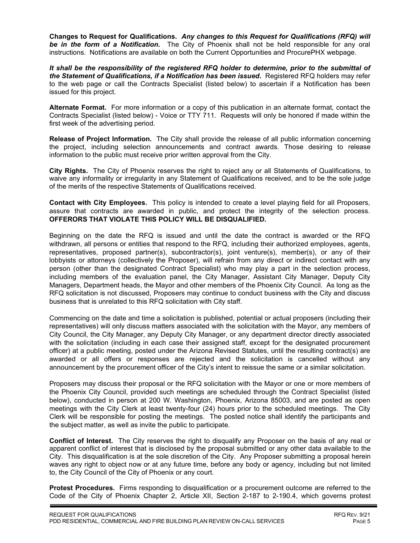**Changes to Request for Qualifications.** *Any changes to this Request for Qualifications (RFQ) will be in the form of a Notification.* The City of Phoenix shall not be held responsible for any oral instructions. Notifications are available on both the Current Opportunities and ProcurePHX webpage.

*It shall be the responsibility of the registered RFQ holder to determine, prior to the submittal of the Statement of Qualifications, if a Notification has been issued***.** Registered RFQ holders may refer to the web page or call the Contracts Specialist (listed below) to ascertain if a Notification has been issued for this project.

**Alternate Format.** For more information or a copy of this publication in an alternate format, contact the Contracts Specialist (listed below) - Voice or TTY 711. Requests will only be honored if made within the first week of the advertising period.

**Release of Project Information.** The City shall provide the release of all public information concerning the project, including selection announcements and contract awards. Those desiring to release information to the public must receive prior written approval from the City.

**City Rights.** The City of Phoenix reserves the right to reject any or all Statements of Qualifications, to waive any informality or irregularity in any Statement of Qualifications received, and to be the sole judge of the merits of the respective Statements of Qualifications received.

**Contact with City Employees.** This policy is intended to create a level playing field for all Proposers, assure that contracts are awarded in public, and protect the integrity of the selection process. **OFFERORS THAT VIOLATE THIS POLICY WILL BE DISQUALIFIED.**

Beginning on the date the RFQ is issued and until the date the contract is awarded or the RFQ withdrawn, all persons or entities that respond to the RFQ, including their authorized employees, agents, representatives, proposed partner(s), subcontractor(s), joint venture(s), member(s), or any of their lobbyists or attorneys (collectively the Proposer), will refrain from any direct or indirect contact with any person (other than the designated Contract Specialist) who may play a part in the selection process, including members of the evaluation panel, the City Manager, Assistant City Manager, Deputy City Managers, Department heads, the Mayor and other members of the Phoenix City Council. As long as the RFQ solicitation is not discussed, Proposers may continue to conduct business with the City and discuss business that is unrelated to this RFQ solicitation with City staff.

Commencing on the date and time a solicitation is published, potential or actual proposers (including their representatives) will only discuss matters associated with the solicitation with the Mayor, any members of City Council, the City Manager, any Deputy City Manager, or any department director directly associated with the solicitation (including in each case their assigned staff, except for the designated procurement officer) at a public meeting, posted under the Arizona Revised Statutes, until the resulting contract(s) are awarded or all offers or responses are rejected and the solicitation is cancelled without any announcement by the procurement officer of the City's intent to reissue the same or a similar solicitation.

Proposers may discuss their proposal or the RFQ solicitation with the Mayor or one or more members of the Phoenix City Council, provided such meetings are scheduled through the Contract Specialist (listed below), conducted in person at 200 W. Washington, Phoenix, Arizona 85003, and are posted as open meetings with the City Clerk at least twenty-four (24) hours prior to the scheduled meetings. The City Clerk will be responsible for posting the meetings. The posted notice shall identify the participants and the subject matter, as well as invite the public to participate.

**Conflict of Interest.** The City reserves the right to disqualify any Proposer on the basis of any real or apparent conflict of interest that is disclosed by the proposal submitted or any other data available to the City. This disqualification is at the sole discretion of the City. Any Proposer submitting a proposal herein waves any right to object now or at any future time, before any body or agency, including but not limited to, the City Council of the City of Phoenix or any court.

**Protest Procedures.** Firms responding to disqualification or a procurement outcome are referred to the Code of the City of Phoenix Chapter 2, Article XII, Section 2-187 to 2-190.4, which governs protest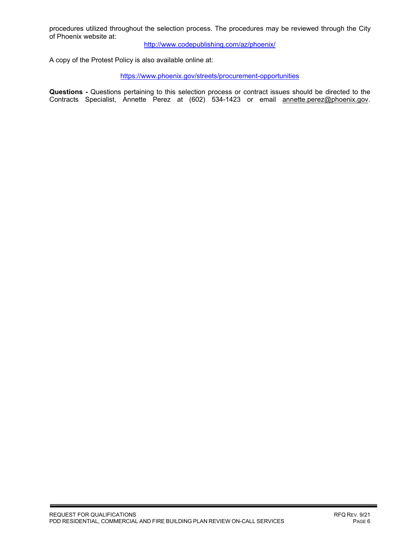procedures utilized throughout the selection process. The procedures may be reviewed through the City of Phoenix website at:

<http://www.codepublishing.com/az/phoenix/>

A copy of the Protest Policy is also available online at:

<https://www.phoenix.gov/streets/procurement-opportunities>

**Questions -** Questions pertaining to this selection process or contract issues should be directed to the Contracts Specialist, Annette Perez at (602) 534-1423 or email annette.perez@phoenix.gov.